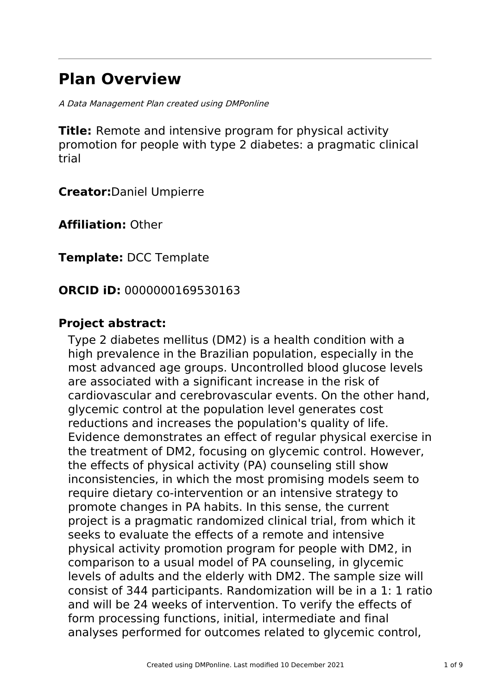# **Plan Overview**

A Data Management Plan created using DMPonline

**Title:** Remote and intensive program for physical activity promotion for people with type 2 diabetes: a pragmatic clinical trial

**Creator:**Daniel Umpierre

**Affiliation:** Other

**Template:** DCC Template

# **ORCID iD:** 0000000169530163

# **Project abstract:**

Type 2 diabetes mellitus (DM2) is a health condition with a high prevalence in the Brazilian population, especially in the most advanced age groups. Uncontrolled blood glucose levels are associated with a significant increase in the risk of cardiovascular and cerebrovascular events. On the other hand, glycemic control at the population level generates cost reductions and increases the population's quality of life. Evidence demonstrates an effect of regular physical exercise in the treatment of DM2, focusing on glycemic control. However, the effects of physical activity (PA) counseling still show inconsistencies, in which the most promising models seem to require dietary co-intervention or an intensive strategy to promote changes in PA habits. In this sense, the current project is a pragmatic randomized clinical trial, from which it seeks to evaluate the effects of a remote and intensive physical activity promotion program for people with DM2, in comparison to a usual model of PA counseling, in glycemic levels of adults and the elderly with DM2. The sample size will consist of 344 participants. Randomization will be in a 1: 1 ratio and will be 24 weeks of intervention. To verify the effects of form processing functions, initial, intermediate and final analyses performed for outcomes related to glycemic control,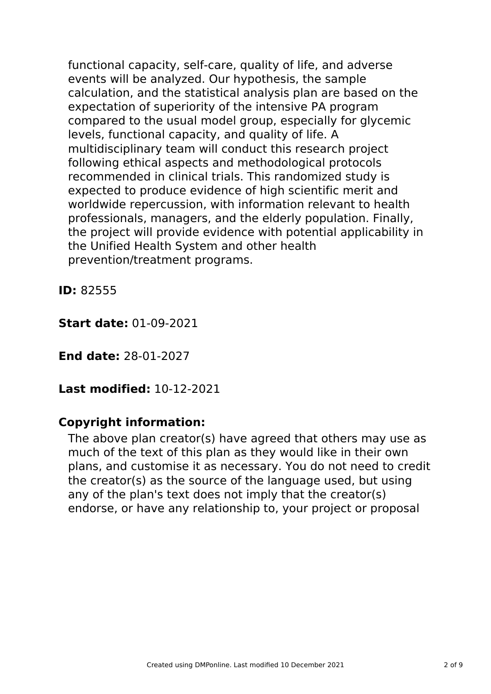functional capacity, self-care, quality of life, and adverse events will be analyzed. Our hypothesis, the sample calculation, and the statistical analysis plan are based on the expectation of superiority of the intensive PA program compared to the usual model group, especially for glycemic levels, functional capacity, and quality of life. A multidisciplinary team will conduct this research project following ethical aspects and methodological protocols recommended in clinical trials. This randomized study is expected to produce evidence of high scientific merit and worldwide repercussion, with information relevant to health professionals, managers, and the elderly population. Finally, the project will provide evidence with potential applicability in the Unified Health System and other health prevention/treatment programs.

**ID:** 82555

**Start date:** 01-09-2021

**End date:** 28-01-2027

**Last modified:** 10-12-2021

# **Copyright information:**

The above plan creator(s) have agreed that others may use as much of the text of this plan as they would like in their own plans, and customise it as necessary. You do not need to credit the creator(s) as the source of the language used, but using any of the plan's text does not imply that the creator(s) endorse, or have any relationship to, your project or proposal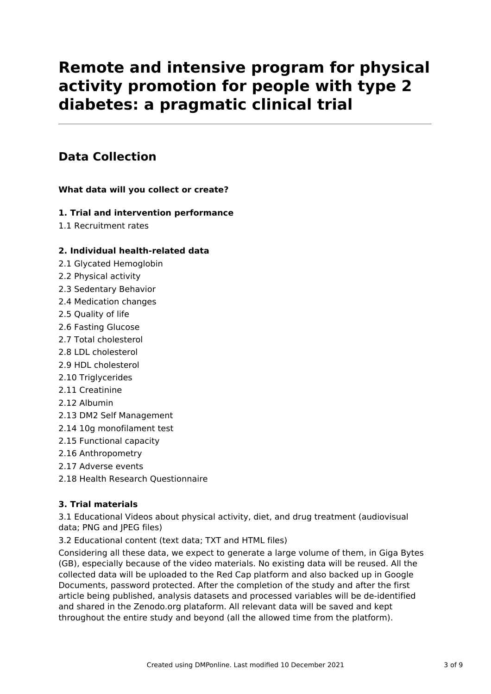# **Remote and intensive program for physical activity promotion for people with type 2 diabetes: a pragmatic clinical trial**

# **Data Collection**

#### **What data will you collect or create?**

#### **1. Trial and intervention performance**

1.1 Recruitment rates

#### **2. Individual health-related data**

- 2.1 Glycated Hemoglobin
- 2.2 Physical activity
- 2.3 Sedentary Behavior
- 2.4 Medication changes
- 2.5 Quality of life
- 2.6 Fasting Glucose
- 2.7 Total cholesterol
- 2.8 LDL cholesterol
- 2.9 HDL cholesterol
- 2.10 Triglycerides
- 2.11 Creatinine
- 2.12 Albumin
- 2.13 DM2 Self Management
- 2.14 10g monofilament test
- 2.15 Functional capacity
- 2.16 Anthropometry
- 2.17 Adverse events
- 2.18 Health Research Questionnaire

#### **3. Trial materials**

3.1 Educational Videos about physical activity, diet, and drug treatment (audiovisual data; PNG and JPEG files)

3.2 Educational content (text data; TXT and HTML files)

Considering all these data, we expect to generate a large volume of them, in Giga Bytes (GB), especially because of the video materials. No existing data will be reused. All the collected data will be uploaded to the Red Cap platform and also backed up in Google Documents, password protected. After the completion of the study and after the first article being published, analysis datasets and processed variables will be de-identified and shared in the Zenodo.org plataform. All relevant data will be saved and kept throughout the entire study and beyond (all the allowed time from the platform).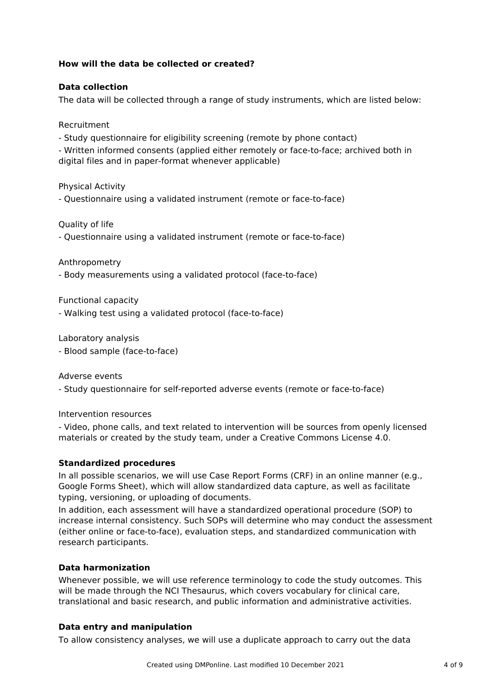#### **How will the data be collected or created?**

#### **Data collection**

The data will be collected through a range of study instruments, which are listed below:

Recruitment

- Study questionnaire for eligibility screening (remote by phone contact)

- Written informed consents (applied either remotely or face-to-face; archived both in digital files and in paper-format whenever applicable)

Physical Activity

- Questionnaire using a validated instrument (remote or face-to-face)

Quality of life

- Questionnaire using a validated instrument (remote or face-to-face)

Anthropometry

- Body measurements using a validated protocol (face-to-face)

Functional capacity

- Walking test using a validated protocol (face-to-face)

Laboratory analysis

- Blood sample (face-to-face)

Adverse events

- Study questionnaire for self-reported adverse events (remote or face-to-face)

Intervention resources

- Video, phone calls, and text related to intervention will be sources from openly licensed materials or created by the study team, under a Creative Commons License 4.0.

#### **Standardized procedures**

In all possible scenarios, we will use Case Report Forms (CRF) in an online manner (e.g., Google Forms Sheet), which will allow standardized data capture, as well as facilitate typing, versioning, or uploading of documents.

In addition, each assessment will have a standardized operational procedure (SOP) to increase internal consistency. Such SOPs will determine who may conduct the assessment (either online or face-to-face), evaluation steps, and standardized communication with research participants.

#### **Data harmonization**

Whenever possible, we will use reference terminology to code the study outcomes. This will be made through the NCI Thesaurus, which covers vocabulary for clinical care, translational and basic research, and public information and administrative activities.

#### **Data entry and manipulation**

To allow consistency analyses, we will use a duplicate approach to carry out the data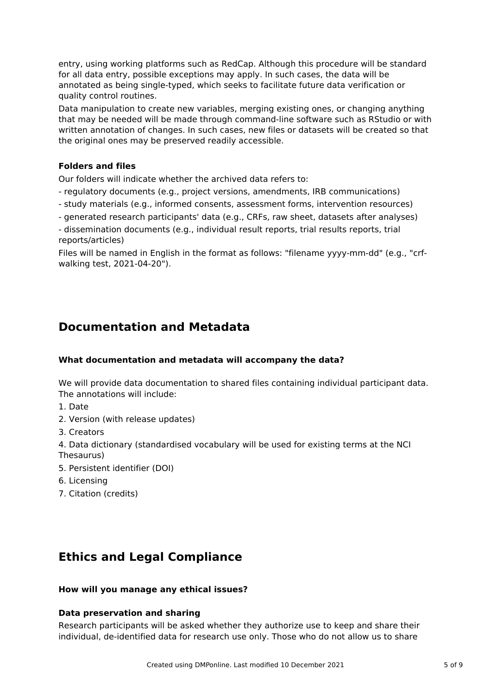entry, using working platforms such as RedCap. Although this procedure will be standard for all data entry, possible exceptions may apply. In such cases, the data will be annotated as being single-typed, which seeks to facilitate future data verification or quality control routines.

Data manipulation to create new variables, merging existing ones, or changing anything that may be needed will be made through command-line software such as RStudio or with written annotation of changes. In such cases, new files or datasets will be created so that the original ones may be preserved readily accessible.

#### **Folders and files**

Our folders will indicate whether the archived data refers to:

- regulatory documents (e.g., project versions, amendments, IRB communications)
- study materials (e.g., informed consents, assessment forms, intervention resources)
- generated research participants' data (e.g., CRFs, raw sheet, datasets after analyses)

- dissemination documents (e.g., individual result reports, trial results reports, trial reports/articles)

Files will be named in English in the format as follows: "filename yyyy-mm-dd" (e.g., "crfwalking test, 2021-04-20").

### **Documentation and Metadata**

#### **What documentation and metadata will accompany the data?**

We will provide data documentation to shared files containing individual participant data. The annotations will include:

- 1. Date
- 2. Version (with release updates)
- 3. Creators

4. Data dictionary (standardised vocabulary will be used for existing terms at the NCI Thesaurus)

- 5. Persistent identifier (DOI)
- 6. Licensing
- 7. Citation (credits)

# **Ethics and Legal Compliance**

#### **How will you manage any ethical issues?**

#### **Data preservation and sharing**

Research participants will be asked whether they authorize use to keep and share their individual, de-identified data for research use only. Those who do not allow us to share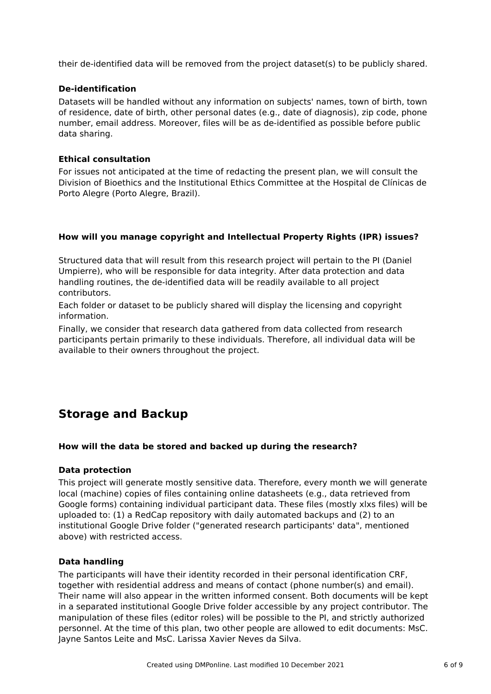their de-identified data will be removed from the project dataset(s) to be publicly shared.

#### **De-identification**

Datasets will be handled without any information on subjects' names, town of birth, town of residence, date of birth, other personal dates (e.g., date of diagnosis), zip code, phone number, email address. Moreover, files will be as de-identified as possible before public data sharing.

#### **Ethical consultation**

For issues not anticipated at the time of redacting the present plan, we will consult the Division of Bioethics and the Institutional Ethics Committee at the Hospital de Clínicas de Porto Alegre (Porto Alegre, Brazil).

#### **How will you manage copyright and Intellectual Property Rights (IPR) issues?**

Structured data that will result from this research project will pertain to the PI (Daniel Umpierre), who will be responsible for data integrity. After data protection and data handling routines, the de-identified data will be readily available to all project contributors.

Each folder or dataset to be publicly shared will display the licensing and copyright information.

Finally, we consider that research data gathered from data collected from research participants pertain primarily to these individuals. Therefore, all individual data will be available to their owners throughout the project.

# **Storage and Backup**

#### **How will the data be stored and backed up during the research?**

#### **Data protection**

This project will generate mostly sensitive data. Therefore, every month we will generate local (machine) copies of files containing online datasheets (e.g., data retrieved from Google forms) containing individual participant data. These files (mostly xlxs files) will be uploaded to: (1) a RedCap repository with daily automated backups and (2) to an institutional Google Drive folder ("generated research participants' data", mentioned above) with restricted access.

#### **Data handling**

The participants will have their identity recorded in their personal identification CRF, together with residential address and means of contact (phone number(s) and email). Their name will also appear in the written informed consent. Both documents will be kept in a separated institutional Google Drive folder accessible by any project contributor. The manipulation of these files (editor roles) will be possible to the PI, and strictly authorized personnel. At the time of this plan, two other people are allowed to edit documents: MsC. Jayne Santos Leite and MsC. Larissa Xavier Neves da Silva.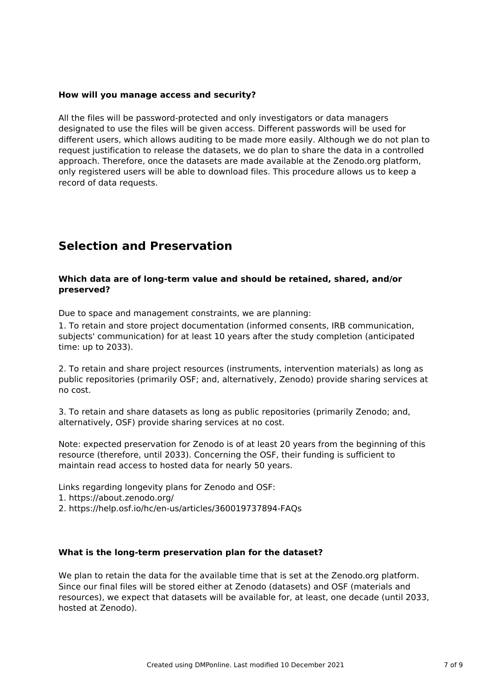#### **How will you manage access and security?**

All the files will be password-protected and only investigators or data managers designated to use the files will be given access. Different passwords will be used for different users, which allows auditing to be made more easily. Although we do not plan to request justification to release the datasets, we do plan to share the data in a controlled approach. Therefore, once the datasets are made available at the Zenodo.org platform, only registered users will be able to download files. This procedure allows us to keep a record of data requests.

### **Selection and Preservation**

#### **Which data are of long-term value and should be retained, shared, and/or preserved?**

Due to space and management constraints, we are planning:

1. To retain and store project documentation (informed consents, IRB communication, subjects' communication) for at least 10 years after the study completion (anticipated time: up to 2033).

2. To retain and share project resources (instruments, intervention materials) as long as public repositories (primarily OSF; and, alternatively, Zenodo) provide sharing services at no cost.

3. To retain and share datasets as long as public repositories (primarily Zenodo; and, alternatively, OSF) provide sharing services at no cost.

Note: expected preservation for Zenodo is of at least 20 years from the beginning of this resource (therefore, until 2033). Concerning the OSF, their funding is sufficient to maintain read access to hosted data for nearly 50 years.

Links regarding longevity plans for Zenodo and OSF:

- 1. https://about.zenodo.org/
- 2. https://help.osf.io/hc/en-us/articles/360019737894-FAQs

#### **What is the long-term preservation plan for the dataset?**

We plan to retain the data for the available time that is set at the Zenodo.org platform. Since our final files will be stored either at Zenodo (datasets) and OSF (materials and resources), we expect that datasets will be available for, at least, one decade (until 2033, hosted at Zenodo).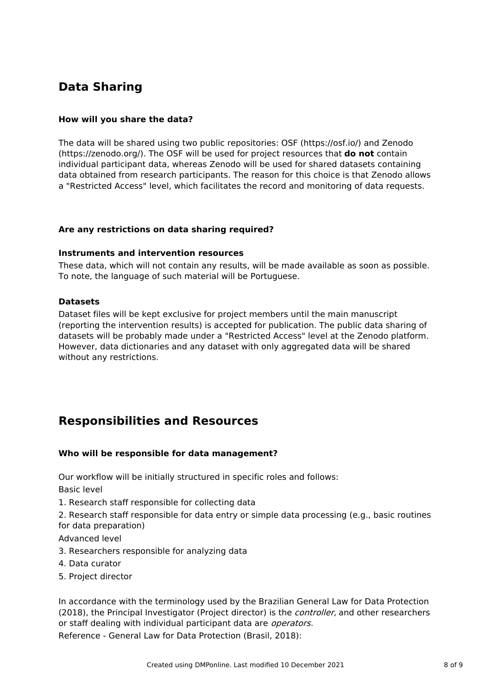# **Data Sharing**

#### **How will you share the data?**

The data will be shared using two public repositories: OSF (https://osf.io/) and Zenodo (https://zenodo.org/). The OSF will be used for project resources that **do not** contain individual participant data, whereas Zenodo will be used for shared datasets containing data obtained from research participants. The reason for this choice is that Zenodo allows a "Restricted Access" level, which facilitates the record and monitoring of data requests.

#### **Are any restrictions on data sharing required?**

#### **Instruments and intervention resources**

These data, which will not contain any results, will be made available as soon as possible. To note, the language of such material will be Portuguese.

#### **Datasets**

Dataset files will be kept exclusive for project members until the main manuscript (reporting the intervention results) is accepted for publication. The public data sharing of datasets will be probably made under a "Restricted Access" level at the Zenodo platform. However, data dictionaries and any dataset with only aggregated data will be shared without any restrictions.

### **Responsibilities and Resources**

#### **Who will be responsible for data management?**

Our workflow will be initially structured in specific roles and follows: Basic level

1. Research staff responsible for collecting data

2. Research staff responsible for data entry or simple data processing (e.g., basic routines for data preparation)

Advanced level

- 3. Researchers responsible for analyzing data
- 4. Data curator
- 5. Project director

In accordance with the terminology used by the Brazilian General Law for Data Protection (2018), the Principal Investigator (Project director) is the *controller*, and other researchers or staff dealing with individual participant data are *operators*.

Reference - General Law for Data Protection (Brasil, 2018):